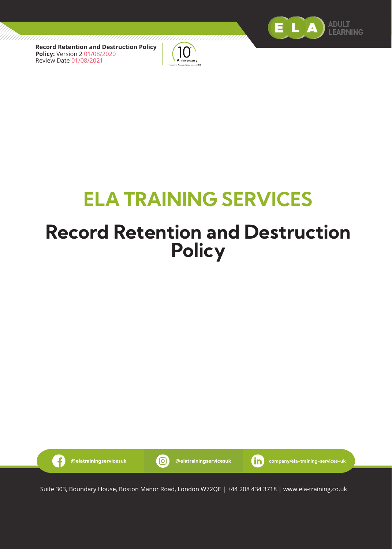



# **ELA TRAINING SERVICES**

## **Record Retention and Destruction Policy**



Suite 303, Boundary House, Boston Manor Road, London W72QE | +44 208 434 3718 | www.ela-training.co.uk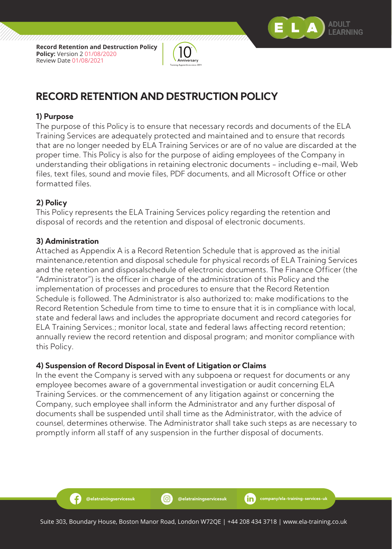



## **RECORD RETENTION AND DESTRUCTION POLICY**

#### **1) Purpose**

The purpose of this Policy is to ensure that necessary records and documents of the ELA Training Services are adequately protected and maintained and to ensure that records that are no longer needed by ELA Training Services or are of no value are discarded at the proper time. This Policy is also for the purpose of aiding employees of the Company in understanding their obligations in retaining electronic documents - including e-mail, Web files, text files, sound and movie files, PDF documents, and all Microsoft Office or other formatted files.

#### **2) Policy**

This Policy represents the ELA Training Services policy regarding the retention and disposal of records and the retention and disposal of electronic documents.

#### **3) Administration**

Æ

Attached as Appendix A is a Record Retention Schedule that is approved as the initial maintenance,retention and disposal schedule for physical records of ELA Training Services and the retention and disposalschedule of electronic documents. The Finance Officer (the "Administrator") is the officer in charge of the administration of this Policy and the implementation of processes and procedures to ensure that the Record Retention Schedule is followed. The Administrator is also authorized to: make modifications to the Record Retention Schedule from time to time to ensure that it is in compliance with local, state and federal laws and includes the appropriate document and record categories for ELA Training Services.; monitor local, state and federal laws affecting record retention; annually review the record retention and disposal program; and monitor compliance with this Policy.

#### **4) Suspension of Record Disposal in Event of Litigation or Claims**

In the event the Company is served with any subpoena or request for documents or any employee becomes aware of a governmental investigation or audit concerning ELA Training Services. or the commencement of any litigation against or concerning the Company, such employee shall inform the Administrator and any further disposal of documents shall be suspended until shall time as the Administrator, with the advice of counsel, determines otherwise. The Administrator shall take such steps as are necessary to promptly inform all staff of any suspension in the further disposal of documents.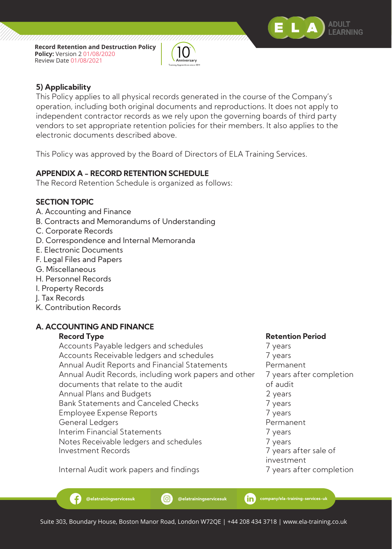



#### **5) Applicability**

This Policy applies to all physical records generated in the course of the Company's operation, including both original documents and reproductions. It does not apply to independent contractor records as we rely upon the governing boards of third party vendors to set appropriate retention policies for their members. It also applies to the electronic documents described above.

This Policy was approved by the Board of Directors of ELA Training Services.

### **APPENDIX A - RECORD RETENTION SCHEDULE**

The Record Retention Schedule is organized as follows:

#### **SECTION TOPIC**

- A. Accounting and Finance
- B. Contracts and Memorandums of Understanding
- C. Corporate Records
- D. Correspondence and Internal Memoranda
- E. Electronic Documents
- F. Legal Files and Papers
- G. Miscellaneous
- H. Personnel Records
- I. Property Records
- J. Tax Records
- K. Contribution Records

#### **A. ACCOUNTING AND FINANCE**

Æ.

Accounts Payable ledgers and schedules **7** years Accounts Receivable ledgers and schedules 7 years Annual Audit Reports and Financial Statements Permanent Annual Audit Records, including work papers and other 7 years after completion documents that relate to the audit documents that relate to the audit Annual Plans and Budgets 2 years 2 years Bank Statements and Canceled Checks **7** years Employee Expense Reports 7 years General Ledgers Permanent Interim Financial Statements **7** years Notes Receivable ledgers and schedules 7 years Investment Records 7 years after sale of

#### **Record Type Retention Period**

investment

Internal Audit work papers and findings The Manuscript of Tyears after completion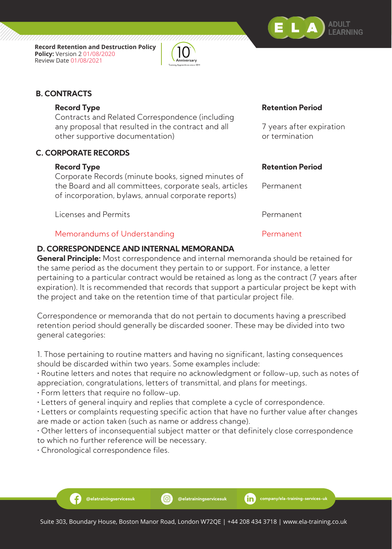



### **B. CONTRACTS**

Contracts and Related Correspondence (including any proposal that resulted in the contract and all **7** years after expiration other supportive documentation) and the content or termination

### **C. CORPORATE RECORDS**

Corporate Records (minute books, signed minutes of the Board and all committees, corporate seals, articles Permanent of incorporation, bylaws, annual corporate reports)

Licenses and Permits Permanent

#### Memorandums of Understanding Permanent

### **D. CORRESPONDENCE AND INTERNAL MEMORANDA**

**General Principle:** Most correspondence and internal memoranda should be retained for the same period as the document they pertain to or support. For instance, a letter pertaining to a particular contract would be retained as long as the contract (7 years after expiration). It is recommended that records that support a particular project be kept with the project and take on the retention time of that particular project file.

Correspondence or memoranda that do not pertain to documents having a prescribed retention period should generally be discarded sooner. These may be divided into two general categories:

1. Those pertaining to routine matters and having no significant, lasting consequences should be discarded within two years. Some examples include:

• Routine letters and notes that require no acknowledgment or follow-up, such as notes of appreciation, congratulations, letters of transmittal, and plans for meetings.

• Form letters that require no follow-up.

• Letters of general inquiry and replies that complete a cycle of correspondence.

• Letters or complaints requesting specific action that have no further value after changes are made or action taken (such as name or address change).

• Other letters of inconsequential subject matter or that definitely close correspondence to which no further reference will be necessary.

• Chronological correspondence files.

**@elatrainingservicesuk @elatrainingservicesuk company/ela-training-services-uk**

### **Record Type Retention Period**

#### **Record Type Retention Period**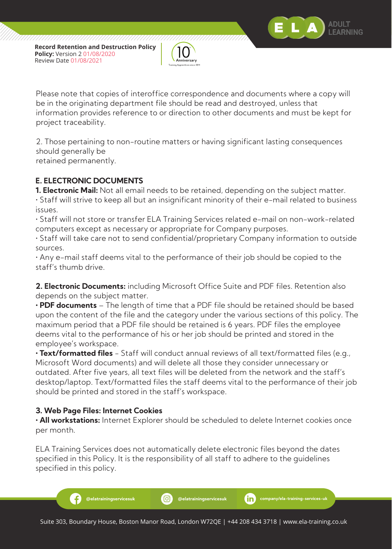

Please note that copies of interoffice correspondence and documents where a copy will be in the originating department file should be read and destroyed, unless that information provides reference to or direction to other documents and must be kept for project traceability.

ADI II T FARNING

2. Those pertaining to non-routine matters or having significant lasting consequences should generally be retained permanently.

### **E. ELECTRONIC DOCUMENTS**

**1. Electronic Mail:** Not all email needs to be retained, depending on the subject matter. • Staff will strive to keep all but an insignificant minority of their e-mail related to business issues.

• Staff will not store or transfer ELA Training Services related e-mail on non-work-related computers except as necessary or appropriate for Company purposes.

• Staff will take care not to send confidential/proprietary Company information to outside sources.

• Any e-mail staff deems vital to the performance of their job should be copied to the staff's thumb drive.

**2. Electronic Documents:** including Microsoft Office Suite and PDF files. Retention also depends on the subject matter.

**• PDF documents** – The length of time that a PDF file should be retained should be based upon the content of the file and the category under the various sections of this policy. The maximum period that a PDF file should be retained is 6 years. PDF files the employee deems vital to the performance of his or her job should be printed and stored in the employee's workspace.

**• Text/formatted files** - Staff will conduct annual reviews of all text/formatted files (e.g., Microsoft Word documents) and will delete all those they consider unnecessary or outdated. After five years, all text files will be deleted from the network and the staff's desktop/laptop. Text/formatted files the staff deems vital to the performance of their job should be printed and stored in the staff's workspace.

#### **3. Web Page Files: Internet Cookies**

**• All workstations:** Internet Explorer should be scheduled to delete Internet cookies once per month.

ELA Training Services does not automatically delete electronic files beyond the dates specified in this Policy. It is the responsibility of all staff to adhere to the guidelines specified in this policy.

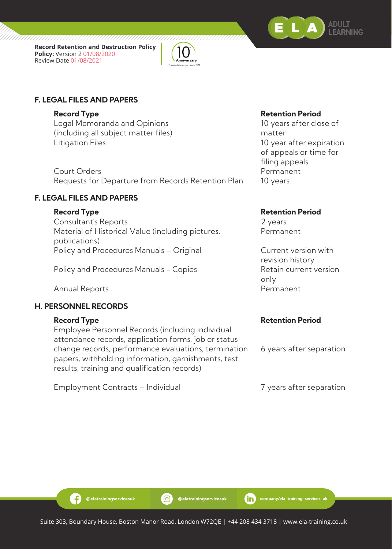





Legal Memoranda and Opinions 10 years after close of (including all subject matter files) matter Litigation Files 10 year after expiration

Court Orders **Permanent** Requests for Departure from Records Retention Plan 10 years

### **F. LEGAL FILES AND PAPERS**

Consultant's Reports 2 years Material of Historical Value (including pictures, Permanent publications) Policy and Procedures Manuals – Original Current version with

Policy and Procedures Manuals - Copies The Retain current version

Annual Reports **Permanent** 

#### **H. PERSONNEL RECORDS**

Employee Personnel Records (including individual attendance records, application forms, job or status change records, performance evaluations, termination 6 years after separation papers, withholding information, garnishments, test results, training and qualification records)

Employment Contracts – Individual and Translater separation

#### **Record Type Retention Period**

 of appeals or time for filing appeals

#### **Record Type Retention Period**

 revision history only and the contract of the contract of the contract of the contract of the contract of the contract of the c

#### **Record Type Retention Period**

-9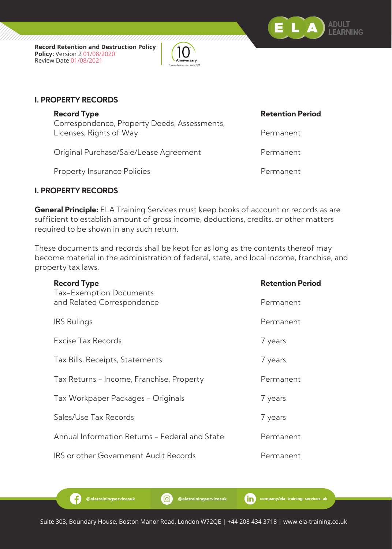



#### **I. PROPERTY RECORDS**

Correspondence, Property Deeds, Assessments, Licenses, Rights of Way **Permanent** 

Original Purchase/Sale/Lease Agreement Permanent

Property Insurance Policies **Permanent** 

### **I. PROPERTY RECORDS**

B

**General Principle:** ELA Training Services must keep books of account or records as are sufficient to establish amount of gross income, deductions, credits, or other matters required to be shown in any such return.

These documents and records shall be kept for as long as the contents thereof may become material in the administration of federal, state, and local income, franchise, and property tax laws.

| <b>Record Type</b><br>Tax-Exemption Documents  | <b>Retention Period</b> |
|------------------------------------------------|-------------------------|
| and Related Correspondence                     | Permanent               |
| <b>IRS</b> Rulings                             | Permanent               |
| Excise Tax Records                             | 7 years                 |
| Tax Bills, Receipts, Statements                | 7 years                 |
| Tax Returns - Income, Franchise, Property      | Permanent               |
| Tax Workpaper Packages - Originals             | 7 years                 |
| Sales/Use Tax Records                          | 7 years                 |
| Annual Information Returns - Federal and State | Permanent               |
| <b>IRS</b> or other Government Audit Records   | Permanent               |

#### **Record Type Retention Period**

Suite 303, Boundary House, Boston Manor Road, London W72QE | +44 208 434 3718 | www.ela-training.co.uk